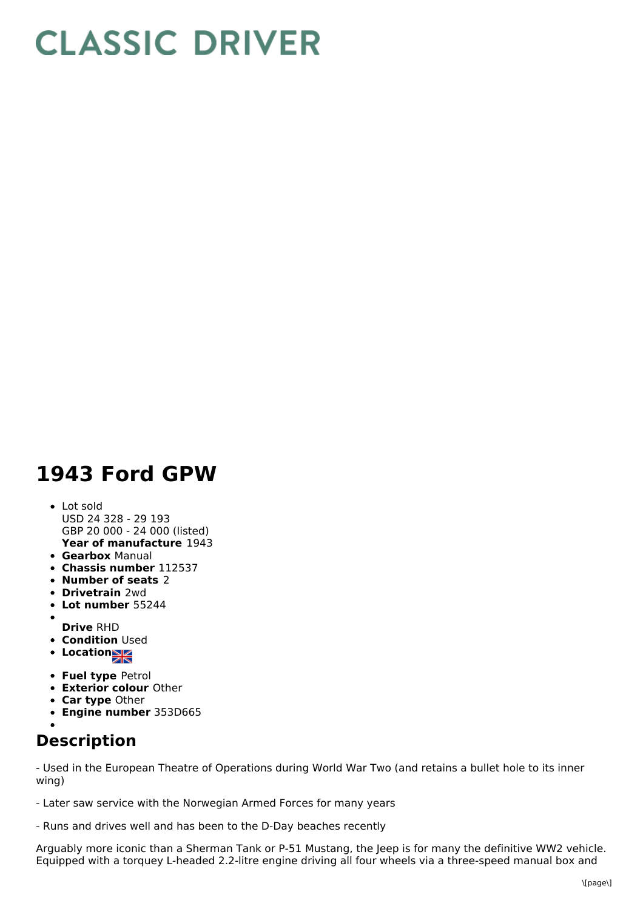## **CLASSIC DRIVER**

## **1943 Ford GPW**

## **Year of manufacture** 1943 Lot sold USD 24 328 - 29 193 GBP 20 000 - 24 000 (listed)

- **Gearbox** Manual
- **Chassis number** 112537
- **Number of seats** 2
- **Drivetrain** 2wd
- **Lot number** 55244
- $\bullet$
- **Drive** RHD
- **Condition Used**
- **Location**
- **Fuel type** Petrol
- **Exterior colour** Other
- **Car type** Other
- **Engine number** 353D665

## **Description**

- Used in the European Theatre of Operations during World War Two (and retains a bullet hole to its inner wing)

- Later saw service with the Norwegian Armed Forces for many years

- Runs and drives well and has been to the D-Day beaches recently

Arguably more iconic than a Sherman Tank or P-51 Mustang, the Jeep is for many the definitive WW2 vehicle. Equipped with a torquey L-headed 2.2-litre engine driving all four wheels via a three-speed manual box and